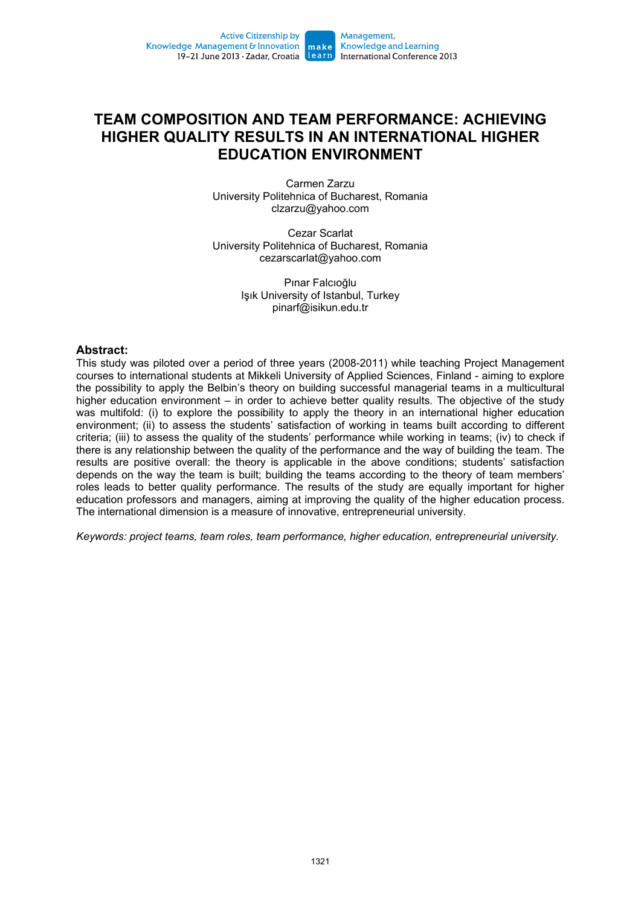# **TEAM COMPOSITION AND TEAM PERFORMANCE: ACHIEVING HIGHER QUALITY RESULTS IN AN INTERNATIONAL HIGHER EDUCATION ENVIRONMENT**

Carmen Zarzu University Politehnica of Bucharest, Romania clzarzu@yahoo.com

Cezar Scarlat University Politehnica of Bucharest, Romania cezarscarlat@yahoo.com

> Pınar Falcıoğlu Işık University of Istanbul, Turkey pinarf@isikun.edu.tr

#### **Abstract:**

This study was piloted over a period of three years (2008-2011) while teaching Project Management courses to international students at Mikkeli University of Applied Sciences, Finland - aiming to explore the possibility to apply the Belbin's theory on building successful managerial teams in a multicultural higher education environment – in order to achieve better quality results. The objective of the study was multifold: (i) to explore the possibility to apply the theory in an international higher education environment; (ii) to assess the students' satisfaction of working in teams built according to different criteria; (iii) to assess the quality of the students' performance while working in teams; (iv) to check if there is any relationship between the quality of the performance and the way of building the team. The results are positive overall: the theory is applicable in the above conditions; students' satisfaction depends on the way the team is built; building the teams according to the theory of team members' roles leads to better quality performance. The results of the study are equally important for higher education professors and managers, aiming at improving the quality of the higher education process. The international dimension is a measure of innovative, entrepreneurial university.

*Keywords: project teams, team roles, team performance, higher education, entrepreneurial university.*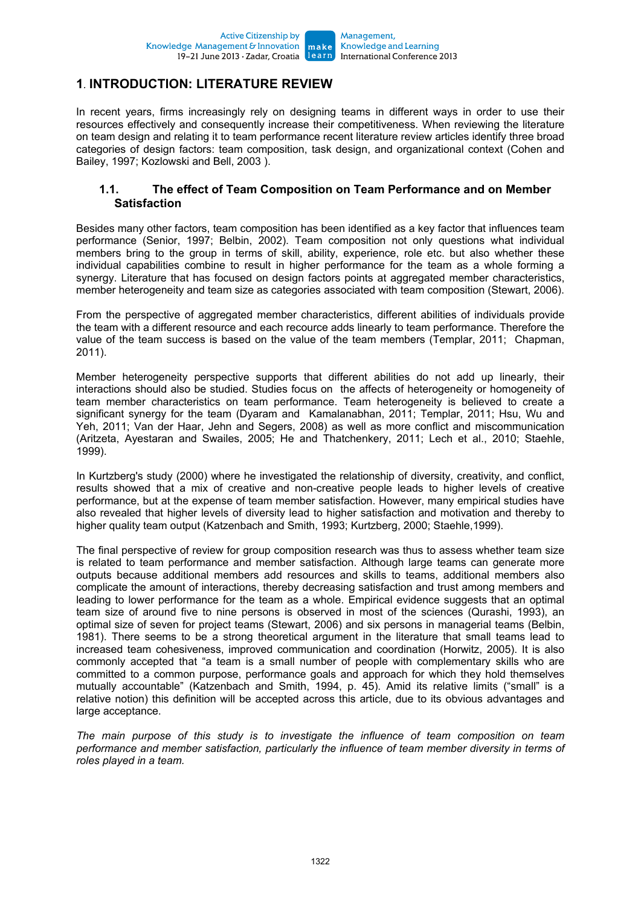# **1***.* **INTRODUCTION: LITERATURE REVIEW**

In recent years, firms increasingly rely on designing teams in different ways in order to use their resources effectively and consequently increase their competitiveness. When reviewing the literature on team design and relating it to team performance recent literature review articles identify three broad categories of design factors: team composition, task design, and organizational context (Cohen and Bailey, 1997; Kozlowski and Bell, 2003 ).

#### **1.1. The effect of Team Composition on Team Performance and on Member Satisfaction**

Besides many other factors, team composition has been identified as a key factor that influences team performance (Senior, 1997; Belbin, 2002). Team composition not only questions what individual members bring to the group in terms of skill, ability, experience, role etc. but also whether these individual capabilities combine to result in higher performance for the team as a whole forming a synergy. Literature that has focused on design factors points at aggregated member characteristics, member heterogeneity and team size as categories associated with team composition (Stewart, 2006).

From the perspective of aggregated member characteristics, different abilities of individuals provide the team with a different resource and each recource adds linearly to team performance. Therefore the value of the team success is based on the value of the team members (Templar, 2011; Chapman, 2011).

Member heterogeneity perspective supports that different abilities do not add up linearly, their interactions should also be studied. Studies focus on the affects of heterogeneity or homogeneity of team member characteristics on team performance. Team heterogeneity is believed to create a significant synergy for the team (Dyaram and Kamalanabhan, 2011; Templar, 2011; Hsu, Wu and Yeh, 2011; Van der Haar, Jehn and Segers, 2008) as well as more conflict and miscommunication (Aritzeta, Ayestaran and Swailes, 2005; He and Thatchenkery, 2011; Lech et al., 2010; Staehle, 1999).

In Kurtzberg's study (2000) where he investigated the relationship of diversity, creativity, and conflict, results showed that a mix of creative and non-creative people leads to higher levels of creative performance, but at the expense of team member satisfaction. However, many empirical studies have also revealed that higher levels of diversity lead to higher satisfaction and motivation and thereby to higher quality team output (Katzenbach and Smith, 1993; Kurtzberg, 2000; Staehle, 1999).

The final perspective of review for group composition research was thus to assess whether team size is related to team performance and member satisfaction. Although large teams can generate more outputs because additional members add resources and skills to teams, additional members also complicate the amount of interactions, thereby decreasing satisfaction and trust among members and leading to lower performance for the team as a whole. Empirical evidence suggests that an optimal team size of around five to nine persons is observed in most of the sciences (Qurashi, 1993), an optimal size of seven for project teams (Stewart, 2006) and six persons in managerial teams (Belbin, 1981). There seems to be a strong theoretical argument in the literature that small teams lead to increased team cohesiveness, improved communication and coordination (Horwitz, 2005). It is also commonly accepted that "a team is a small number of people with complementary skills who are committed to a common purpose, performance goals and approach for which they hold themselves mutually accountable" (Katzenbach and Smith, 1994, p. 45). Amid its relative limits ("small" is a relative notion) this definition will be accepted across this article, due to its obvious advantages and large acceptance.

*The main purpose of this study is to investigate the influence of team composition on team performance and member satisfaction, particularly the influence of team member diversity in terms of roles played in a team.*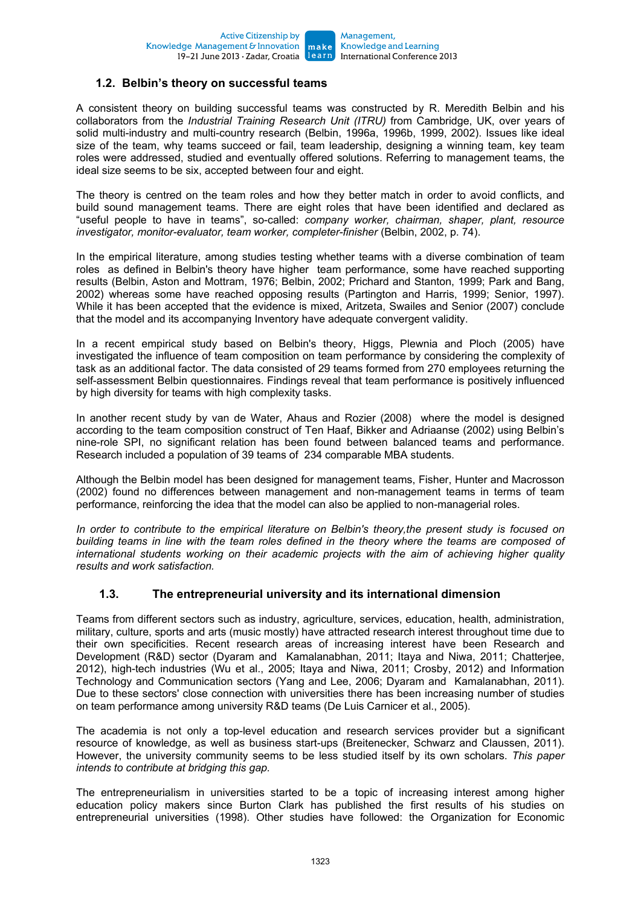#### **1.2. Belbin's theory on successful teams**

A consistent theory on building successful teams was constructed by R. Meredith Belbin and his collaborators from the *Industrial Training Research Unit (ITRU)* from Cambridge, UK, over years of solid multi-industry and multi-country research (Belbin, 1996a, 1996b, 1999, 2002). Issues like ideal size of the team, why teams succeed or fail, team leadership, designing a winning team, key team roles were addressed, studied and eventually offered solutions. Referring to management teams, the ideal size seems to be six, accepted between four and eight.

The theory is centred on the team roles and how they better match in order to avoid conflicts, and build sound management teams. There are eight roles that have been identified and declared as "useful people to have in teams", so-called: *company worker, chairman, shaper, plant, resource investigator, monitor-evaluator, team worker, completer-finisher* (Belbin, 2002, p. 74).

In the empirical literature, among studies testing whether teams with a diverse combination of team roles as defined in Belbin's theory have higher team performance, some have reached supporting results (Belbin, Aston and Mottram, 1976; Belbin, 2002; Prichard and Stanton, 1999; Park and Bang, 2002) whereas some have reached opposing results (Partington and Harris, 1999; Senior, 1997). While it has been accepted that the evidence is mixed, Aritzeta, Swailes and Senior (2007) conclude that the model and its accompanying Inventory have adequate convergent validity.

In a recent empirical study based on Belbin's theory, Higgs, Plewnia and Ploch (2005) have investigated the influence of team composition on team performance by considering the complexity of task as an additional factor. The data consisted of 29 teams formed from 270 employees returning the self-assessment Belbin questionnaires. Findings reveal that team performance is positively influenced by high diversity for teams with high complexity tasks.

In another recent study by van de Water, Ahaus and Rozier (2008) where the model is designed according to the team composition construct of Ten Haaf, Bikker and Adriaanse (2002) using Belbin's nine-role SPI, no significant relation has been found between balanced teams and performance. Research included a population of 39 teams of 234 comparable MBA students.

Although the Belbin model has been designed for management teams, Fisher, Hunter and Macrosson (2002) found no differences between management and non-management teams in terms of team performance, reinforcing the idea that the model can also be applied to non-managerial roles.

*In order to contribute to the empirical literature on Belbin's theory,the present study is focused on building teams in line with the team roles defined in the theory where the teams are composed of international students working on their academic projects with the aim of achieving higher quality results and work satisfaction.* 

#### **1.3. The entrepreneurial university and its international dimension**

Teams from different sectors such as industry, agriculture, services, education, health, administration, military, culture, sports and arts (music mostly) have attracted research interest throughout time due to their own specificities. Recent research areas of increasing interest have been Research and Development (R&D) sector (Dyaram and Kamalanabhan, 2011; Itaya and Niwa, 2011; Chatterjee, 2012), high-tech industries (Wu et al., 2005; Itaya and Niwa, 2011; Crosby, 2012) and Information Technology and Communication sectors (Yang and Lee, 2006; Dyaram and Kamalanabhan, 2011). Due to these sectors' close connection with universities there has been increasing number of studies on team performance among university R&D teams (De Luis Carnicer et al., 2005).

The academia is not only a top-level education and research services provider but a significant resource of knowledge, as well as business start-ups (Breitenecker, Schwarz and Claussen, 2011). However, the university community seems to be less studied itself by its own scholars. *This paper intends to contribute at bridging this gap.* 

The entrepreneurialism in universities started to be a topic of increasing interest among higher education policy makers since Burton Clark has published the first results of his studies on entrepreneurial universities (1998). Other studies have followed: the Organization for Economic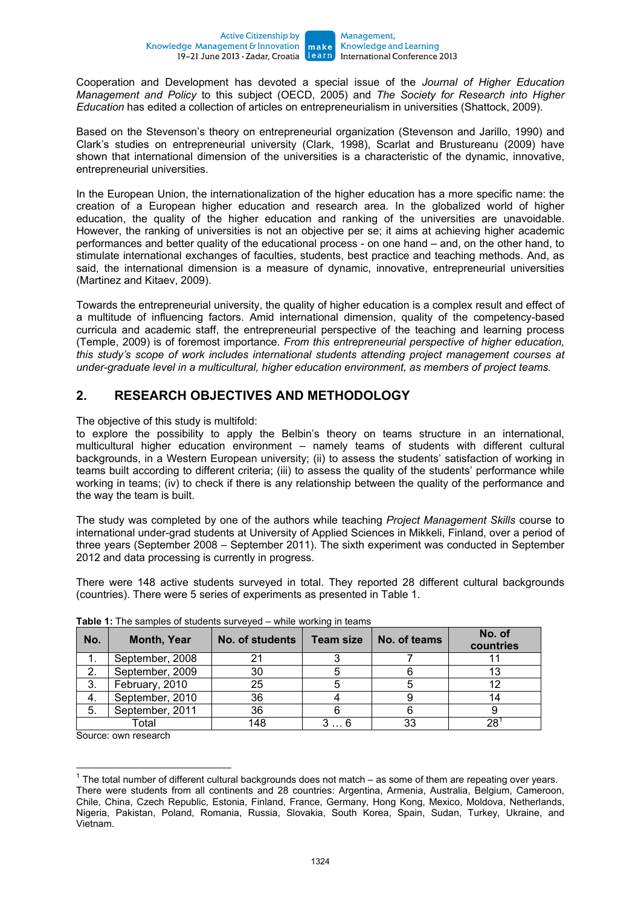Cooperation and Development has devoted a special issue of the *Journal of Higher Education Management and Policy* to this subject (OECD, 2005) and *The Society for Research into Higher Education* has edited a collection of articles on entrepreneurialism in universities (Shattock, 2009).

Based on the Stevenson's theory on entrepreneurial organization (Stevenson and Jarillo, 1990) and Clark's studies on entrepreneurial university (Clark, 1998), Scarlat and Brustureanu (2009) have shown that international dimension of the universities is a characteristic of the dynamic, innovative, entrepreneurial universities.

In the European Union, the internationalization of the higher education has a more specific name: the creation of a European higher education and research area. In the globalized world of higher education, the quality of the higher education and ranking of the universities are unavoidable. However, the ranking of universities is not an objective per se; it aims at achieving higher academic performances and better quality of the educational process - on one hand – and, on the other hand, to stimulate international exchanges of faculties, students, best practice and teaching methods. And, as said, the international dimension is a measure of dynamic, innovative, entrepreneurial universities (Martinez and Kitaev, 2009).

Towards the entrepreneurial university, the quality of higher education is a complex result and effect of a multitude of influencing factors. Amid international dimension, quality of the competency-based curricula and academic staff, the entrepreneurial perspective of the teaching and learning process (Temple, 2009) is of foremost importance. *From this entrepreneurial perspective of higher education, this study's scope of work includes international students attending project management courses at under-graduate level in a multicultural, higher education environment, as members of project teams.* 

# **2. RESEARCH OBJECTIVES AND METHODOLOGY**

The objective of this study is multifold:

to explore the possibility to apply the Belbin's theory on teams structure in an international, multicultural higher education environment – namely teams of students with different cultural backgrounds, in a Western European university; (ii) to assess the students' satisfaction of working in teams built according to different criteria; (iii) to assess the quality of the students' performance while working in teams; (iv) to check if there is any relationship between the quality of the performance and the way the team is built.

The study was completed by one of the authors while teaching *Project Management Skills* course to international under-grad students at University of Applied Sciences in Mikkeli, Finland, over a period of three years (September 2008 – September 2011). The sixth experiment was conducted in September 2012 and data processing is currently in progress.

There were 148 active students surveyed in total. They reported 28 different cultural backgrounds (countries). There were 5 series of experiments as presented in Table 1.

| No. | <b>Month, Year</b> | <b>No. of students</b> | <b>Team size</b> | No. of teams | No. of<br>countries |
|-----|--------------------|------------------------|------------------|--------------|---------------------|
|     | September, 2008    |                        |                  |              |                     |
| 2   | September, 2009    | 30                     |                  |              |                     |
| 3.  | February, 2010     | 25                     |                  |              |                     |
|     | September, 2010    | 36                     |                  |              | 14                  |
| 5.  | September, 2011    | 36                     |                  |              |                     |
|     | Total              | 148                    |                  | 33           |                     |

**Table 1:** The samples of students surveyed – while working in teams

Source: own research

 1 The total number of different cultural backgrounds does not match – as some of them are repeating over years. There were students from all continents and 28 countries: Argentina, Armenia, Australia, Belgium, Cameroon, Chile, China, Czech Republic, Estonia, Finland, France, Germany, Hong Kong, Mexico, Moldova, Netherlands, Nigeria, Pakistan, Poland, Romania, Russia, Slovakia, South Korea, Spain, Sudan, Turkey, Ukraine, and Vietnam.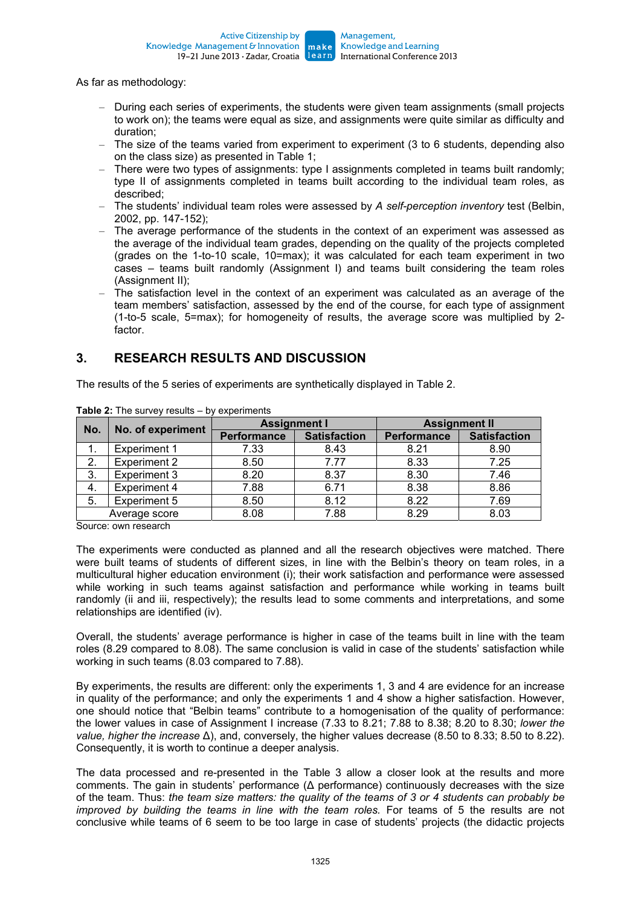As far as methodology:

- During each series of experiments, the students were given team assignments (small projects to work on); the teams were equal as size, and assignments were quite similar as difficulty and duration;
- The size of the teams varied from experiment to experiment (3 to 6 students, depending also on the class size) as presented in Table 1;
- There were two types of assignments: type I assignments completed in teams built randomly; type II of assignments completed in teams built according to the individual team roles, as described;
- The students' individual team roles were assessed by *A self-perception inventory* test (Belbin, 2002, pp. 147-152);
- The average performance of the students in the context of an experiment was assessed as the average of the individual team grades, depending on the quality of the projects completed (grades on the 1-to-10 scale, 10=max); it was calculated for each team experiment in two cases – teams built randomly (Assignment I) and teams built considering the team roles (Assignment II);
- The satisfaction level in the context of an experiment was calculated as an average of the team members' satisfaction, assessed by the end of the course, for each type of assignment (1-to-5 scale, 5=max); for homogeneity of results, the average score was multiplied by 2 factor.

# **3. RESEARCH RESULTS AND DISCUSSION**

The results of the 5 series of experiments are synthetically displayed in Table 2.

| No. | No. of experiment   | <b>Assignment I</b> |                     | <b>Assignment II</b> |                     |
|-----|---------------------|---------------------|---------------------|----------------------|---------------------|
|     |                     | <b>Performance</b>  | <b>Satisfaction</b> | Performance          | <b>Satisfaction</b> |
|     | <b>Experiment 1</b> | 7.33                | 8.43                | 8.21                 | 8.90                |
| 2.  | <b>Experiment 2</b> | 8.50                | 7.77                | 8.33                 | 7.25                |
| 3.  | <b>Experiment 3</b> | 8.20                | 8.37                | 8.30                 | 7.46                |
| 4.  | <b>Experiment 4</b> | 7.88                | 6.71                | 8.38                 | 8.86                |
| 5.  | <b>Experiment 5</b> | 8.50                | 8.12                | 8.22                 | 7.69                |
|     | Average score       | 8.08                | 7.88                | 8.29                 | 8.03                |

**Table 2:** The survey results – by experiments

Source: own research

The experiments were conducted as planned and all the research objectives were matched. There were built teams of students of different sizes, in line with the Belbin's theory on team roles, in a multicultural higher education environment (i); their work satisfaction and performance were assessed while working in such teams against satisfaction and performance while working in teams built randomly (ii and iii, respectively); the results lead to some comments and interpretations, and some relationships are identified (iv).

Overall, the students' average performance is higher in case of the teams built in line with the team roles (8.29 compared to 8.08). The same conclusion is valid in case of the students' satisfaction while working in such teams (8.03 compared to 7.88).

By experiments, the results are different: only the experiments 1, 3 and 4 are evidence for an increase in quality of the performance; and only the experiments 1 and 4 show a higher satisfaction. However, one should notice that "Belbin teams" contribute to a homogenisation of the quality of performance: the lower values in case of Assignment I increase (7.33 to 8.21; 7.88 to 8.38; 8.20 to 8.30; *lower the value, higher the increase* Δ), and, conversely, the higher values decrease (8.50 to 8.33; 8.50 to 8.22). Consequently, it is worth to continue a deeper analysis.

The data processed and re-presented in the Table 3 allow a closer look at the results and more comments. The gain in students' performance ( $\Delta$  performance) continuously decreases with the size of the team. Thus: *the team size matters: the quality of the teams of 3 or 4 students can probably be improved by building the teams in line with the team roles.* For teams of 5 the results are not conclusive while teams of 6 seem to be too large in case of students' projects (the didactic projects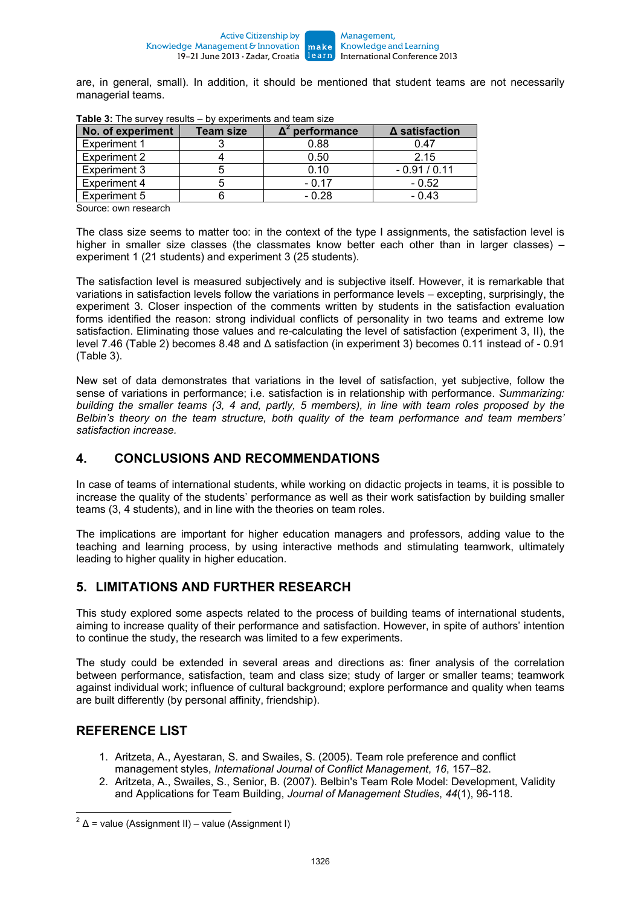are, in general, small). In addition, it should be mentioned that student teams are not necessarily managerial teams.

| No. of experiment   | <b>Team size</b> | performance | $\Delta$ satisfaction |
|---------------------|------------------|-------------|-----------------------|
| <b>Experiment 1</b> |                  | 0.88        | 0.47                  |
| <b>Experiment 2</b> |                  | 0.50        | 2.15                  |
| Experiment 3        |                  | 0.10        | $-0.91/0.11$          |
| Experiment 4        |                  | $-0.17$     | $-0.52$               |
| Experiment 5        |                  | $-0.28$     | $-0.43$               |

**Table 3:** The survey results – by experiments and team size

Source: own research

The class size seems to matter too: in the context of the type I assignments, the satisfaction level is higher in smaller size classes (the classmates know better each other than in larger classes) – experiment 1 (21 students) and experiment 3 (25 students).

The satisfaction level is measured subjectively and is subjective itself. However, it is remarkable that variations in satisfaction levels follow the variations in performance levels – excepting, surprisingly, the experiment 3. Closer inspection of the comments written by students in the satisfaction evaluation forms identified the reason: strong individual conflicts of personality in two teams and extreme low satisfaction. Eliminating those values and re-calculating the level of satisfaction (experiment 3, II), the level 7.46 (Table 2) becomes 8.48 and Δ satisfaction (in experiment 3) becomes 0.11 instead of - 0.91 (Table 3).

New set of data demonstrates that variations in the level of satisfaction, yet subjective, follow the sense of variations in performance; i.e. satisfaction is in relationship with performance. *Summarizing: building the smaller teams (3, 4 and, partly, 5 members), in line with team roles proposed by the Belbin's theory on the team structure, both quality of the team performance and team members' satisfaction increase.* 

#### **4. CONCLUSIONS AND RECOMMENDATIONS**

In case of teams of international students, while working on didactic projects in teams, it is possible to increase the quality of the students' performance as well as their work satisfaction by building smaller teams (3, 4 students), and in line with the theories on team roles.

The implications are important for higher education managers and professors, adding value to the teaching and learning process, by using interactive methods and stimulating teamwork, ultimately leading to higher quality in higher education.

### **5. LIMITATIONS AND FURTHER RESEARCH**

This study explored some aspects related to the process of building teams of international students, aiming to increase quality of their performance and satisfaction. However, in spite of authors' intention to continue the study, the research was limited to a few experiments.

The study could be extended in several areas and directions as: finer analysis of the correlation between performance, satisfaction, team and class size; study of larger or smaller teams; teamwork against individual work; influence of cultural background; explore performance and quality when teams are built differently (by personal affinity, friendship).

### **REFERENCE LIST**

- 1. Aritzeta, A., Ayestaran, S. and Swailes, S. (2005). Team role preference and conflict management styles, *International Journal of Conflict Management*, *16*, 157–82.
- 2. Aritzeta, A., Swailes, S., Senior, B. (2007). Belbin's Team Role Model: Development, Validity and Applications for Team Building, *Journal of Management Studies*, *44*(1), 96-118.

<sup>1</sup>  $2^2 \Delta$  = value (Assignment II) – value (Assignment I)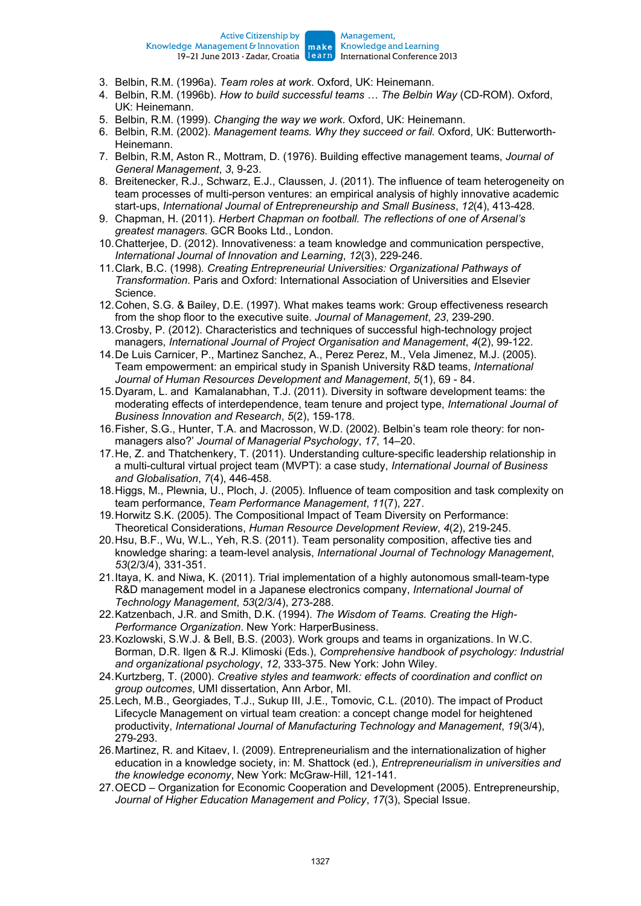- Knowledge and Learning
- 3. Belbin, R.M. (1996a). *Team roles at work*. Oxford, UK: Heinemann.
- 4. Belbin, R.M. (1996b). *How to build successful teams … The Belbin Way* (CD-ROM). Oxford, UK: Heinemann.
- 5. Belbin, R.M. (1999). *Changing the way we work*. Oxford, UK: Heinemann.
- 6. Belbin, R.M. (2002). *Management teams. Why they succeed or fail.* Oxford, UK: Butterworth-Heinemann.
- 7. Belbin, R.M, Aston R., Mottram, D. (1976). Building effective management teams, *Journal of General Management*, *3*, 9-23.
- 8. Breitenecker, R.J., Schwarz, E.J., Claussen, J. (2011). The influence of team heterogeneity on team processes of multi-person ventures: an empirical analysis of highly innovative academic start-ups, *International Journal of Entrepreneurship and Small Business*, *12*(4), 413-428.
- 9. Chapman, H. (2011). *Herbert Chapman on football. The reflections of one of Arsenal's greatest managers.* GCR Books Ltd., London.
- 10. Chatterjee, D. (2012). Innovativeness: a team knowledge and communication perspective, *International Journal of Innovation and Learning*, *12*(3), 229-246.
- 11. Clark, B.C. (1998). *Creating Entrepreneurial Universities: Organizational Pathways of Transformation*. Paris and Oxford: International Association of Universities and Elsevier Science.
- 12. Cohen, S.G. & Bailey, D.E. (1997). What makes teams work: Group effectiveness research from the shop floor to the executive suite. *Journal of Management*, *23*, 239-290.
- 13. Crosby, P. (2012). Characteristics and techniques of successful high-technology project managers, *International Journal of Project Organisation and Management*, *4*(2), 99-122.
- 14. De Luis Carnicer, P., Martinez Sanchez, A., Perez Perez, M., Vela Jimenez, M.J. (2005). Team empowerment: an empirical study in Spanish University R&D teams, *International Journal of Human Resources Development and Management*, *5*(1), 69 - 84.
- 15. Dyaram, L. and Kamalanabhan, T.J. (2011). Diversity in software development teams: the moderating effects of interdependence, team tenure and project type, *International Journal of Business Innovation and Research*, *5*(2), 159-178.
- 16. Fisher, S.G., Hunter, T.A. and Macrosson, W.D. (2002). Belbin's team role theory: for nonmanagers also?' *Journal of Managerial Psychology*, *17*, 14–20.
- 17. He, Z. and Thatchenkery, T. (2011). Understanding culture-specific leadership relationship in a multi-cultural virtual project team (MVPT): a case study, *International Journal of Business and Globalisation*, *7*(4), 446-458.
- 18. Higgs, M., Plewnia, U., Ploch, J. (2005). Influence of team composition and task complexity on team performance, *Team Performance Management*, *11*(7), 227.
- 19. Horwitz S.K. (2005). The Compositional Impact of Team Diversity on Performance: Theoretical Considerations, *Human Resource Development Review*, *4*(2), 219-245.
- 20. Hsu, B.F., Wu, W.L., Yeh, R.S. (2011). Team personality composition, affective ties and knowledge sharing: a team-level analysis, *International Journal of Technology Management*, *53*(2/3/4), 331-351.
- 21. Itaya, K. and Niwa, K. (2011). Trial implementation of a highly autonomous small-team-type R&D management model in a Japanese electronics company, *International Journal of Technology Management*, *53*(2/3/4), 273-288.
- 22. Katzenbach, J.R. and Smith, D.K. (1994). *The Wisdom of Teams. Creating the High-Performance Organization*. New York: HarperBusiness.
- 23. Kozlowski, S.W.J. & Bell, B.S. (2003). Work groups and teams in organizations. In W.C. Borman, D.R. Ilgen & R.J. Klimoski (Eds.), *Comprehensive handbook of psychology: Industrial and organizational psychology*, *12*, 333-375. New York: John Wiley.
- 24. Kurtzberg, T. (2000). *Creative styles and teamwork: effects of coordination and conflict on group outcomes*, UMI dissertation, Ann Arbor, MI.
- 25. Lech, M.B., Georgiades, T.J., Sukup III, J.E., Tomovic, C.L. (2010). The impact of Product Lifecycle Management on virtual team creation: a concept change model for heightened productivity, *International Journal of Manufacturing Technology and Management*, *19*(3/4), 279-293.
- 26. Martinez, R. and Kitaev, I. (2009). Entrepreneurialism and the internationalization of higher education in a knowledge society, in: M. Shattock (ed.), *Entrepreneurialism in universities and the knowledge economy*, New York: McGraw-Hill, 121-141.
- 27. OECD Organization for Economic Cooperation and Development (2005). Entrepreneurship, *Journal of Higher Education Management and Policy*, *17*(3), Special Issue.